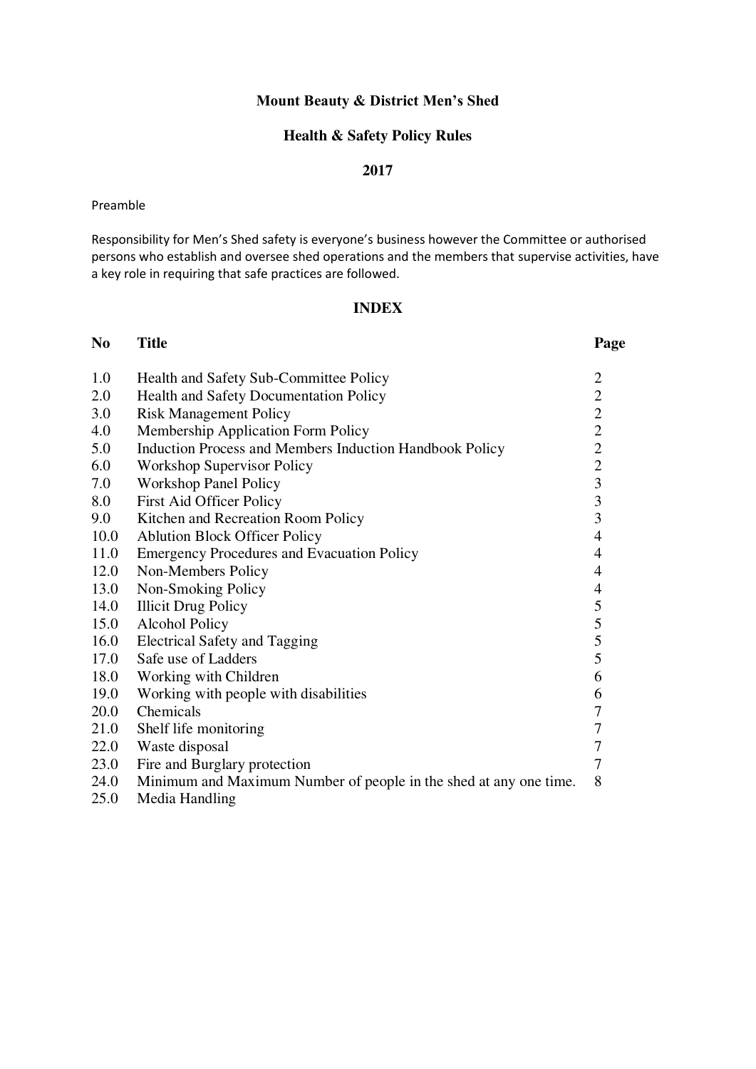## **Mount Beauty & District Men's Shed**

# **Health & Safety Policy Rules**

#### **2017**

#### Preamble

Responsibility for Men's Shed safety is everyone's business however the Committee or authorised persons who establish and oversee shed operations and the members that supervise activities, have a key role in requiring that safe practices are followed.

#### **INDEX**

| N <sub>0</sub> | <b>Title</b>                                                      | Page                                       |
|----------------|-------------------------------------------------------------------|--------------------------------------------|
| 1.0            | Health and Safety Sub-Committee Policy                            | $\mathbf{2}$                               |
| 2.0            | <b>Health and Safety Documentation Policy</b>                     | $\overline{2}$                             |
| 3.0            | <b>Risk Management Policy</b>                                     |                                            |
| 4.0            | Membership Application Form Policy                                | $\begin{array}{c} 2 \\ 2 \\ 2 \end{array}$ |
| 5.0            | Induction Process and Members Induction Handbook Policy           |                                            |
| 6.0            | <b>Workshop Supervisor Policy</b>                                 | $\overline{2}$                             |
| 7.0            | <b>Workshop Panel Policy</b>                                      | $\overline{\mathbf{3}}$                    |
| 8.0            | <b>First Aid Officer Policy</b>                                   | 3                                          |
| 9.0            | Kitchen and Recreation Room Policy                                | $\overline{3}$                             |
| 10.0           | <b>Ablution Block Officer Policy</b>                              | $\overline{4}$                             |
| 11.0           | <b>Emergency Procedures and Evacuation Policy</b>                 | $\overline{4}$                             |
| 12.0           | Non-Members Policy                                                | $\overline{4}$                             |
| 13.0           | Non-Smoking Policy                                                | $\overline{\mathcal{A}}$                   |
| 14.0           | <b>Illicit Drug Policy</b>                                        | 5                                          |
| 15.0           | <b>Alcohol Policy</b>                                             | 5                                          |
| 16.0           | <b>Electrical Safety and Tagging</b>                              | 5                                          |
| 17.0           | Safe use of Ladders                                               | 5                                          |
| 18.0           | Working with Children                                             | 6                                          |
| 19.0           | Working with people with disabilities                             | 6                                          |
| 20.0           | Chemicals                                                         | $\boldsymbol{7}$                           |
| 21.0           | Shelf life monitoring                                             | $\boldsymbol{7}$                           |
| 22.0           | Waste disposal                                                    | $\tau$                                     |
| 23.0           | Fire and Burglary protection                                      | 7                                          |
| 24.0           | Minimum and Maximum Number of people in the shed at any one time. | 8                                          |
| 25.0           | Media Handling                                                    |                                            |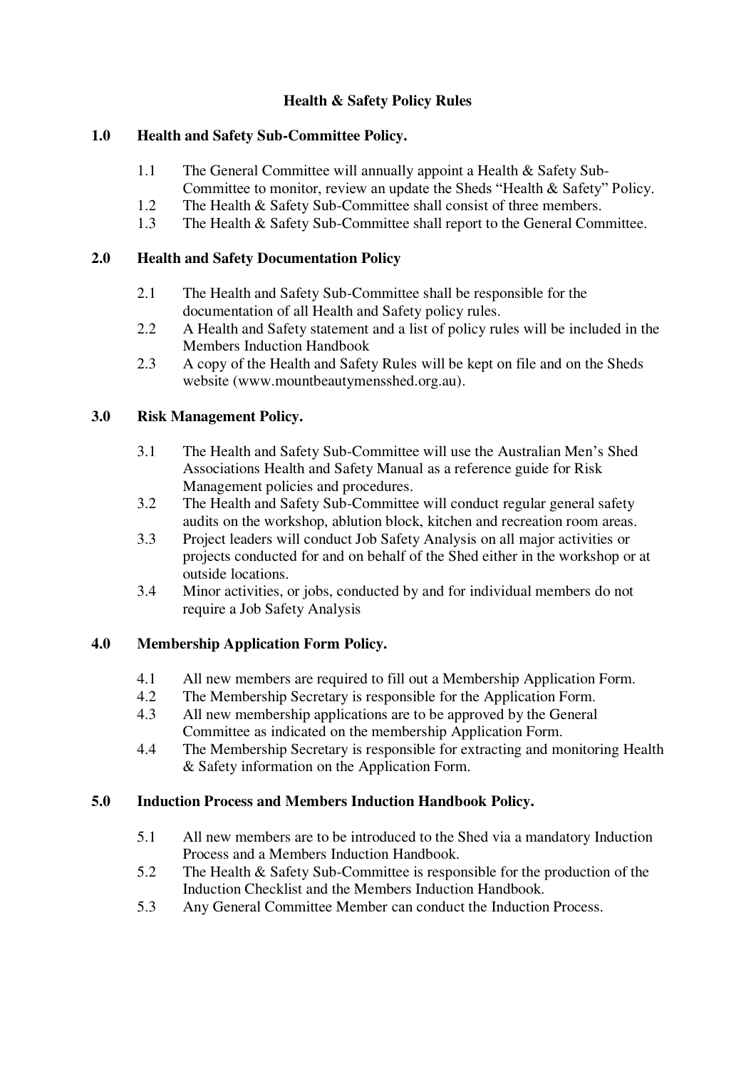# **Health & Safety Policy Rules**

## **1.0 Health and Safety Sub-Committee Policy.**

- 1.1 The General Committee will annually appoint a Health & Safety Sub-Committee to monitor, review an update the Sheds "Health & Safety" Policy.
- 1.2 The Health & Safety Sub-Committee shall consist of three members.
- 1.3 The Health & Safety Sub-Committee shall report to the General Committee.

# **2.0 Health and Safety Documentation Policy**

- 2.1 The Health and Safety Sub-Committee shall be responsible for the documentation of all Health and Safety policy rules.
- 2.2 A Health and Safety statement and a list of policy rules will be included in the Members Induction Handbook
- 2.3 A copy of the Health and Safety Rules will be kept on file and on the Sheds website (www.mountbeautymensshed.org.au).

# **3.0 Risk Management Policy.**

- 3.1 The Health and Safety Sub-Committee will use the Australian Men's Shed Associations Health and Safety Manual as a reference guide for Risk Management policies and procedures.
- 3.2 The Health and Safety Sub-Committee will conduct regular general safety audits on the workshop, ablution block, kitchen and recreation room areas.
- 3.3 Project leaders will conduct Job Safety Analysis on all major activities or projects conducted for and on behalf of the Shed either in the workshop or at outside locations.
- 3.4 Minor activities, or jobs, conducted by and for individual members do not require a Job Safety Analysis

# **4.0 Membership Application Form Policy.**

- 4.1 All new members are required to fill out a Membership Application Form.
- 4.2 The Membership Secretary is responsible for the Application Form.
- 4.3 All new membership applications are to be approved by the General Committee as indicated on the membership Application Form.
- 4.4 The Membership Secretary is responsible for extracting and monitoring Health & Safety information on the Application Form.

# **5.0 Induction Process and Members Induction Handbook Policy.**

- 5.1 All new members are to be introduced to the Shed via a mandatory Induction Process and a Members Induction Handbook.
- 5.2 The Health & Safety Sub-Committee is responsible for the production of the Induction Checklist and the Members Induction Handbook.
- 5.3 Any General Committee Member can conduct the Induction Process.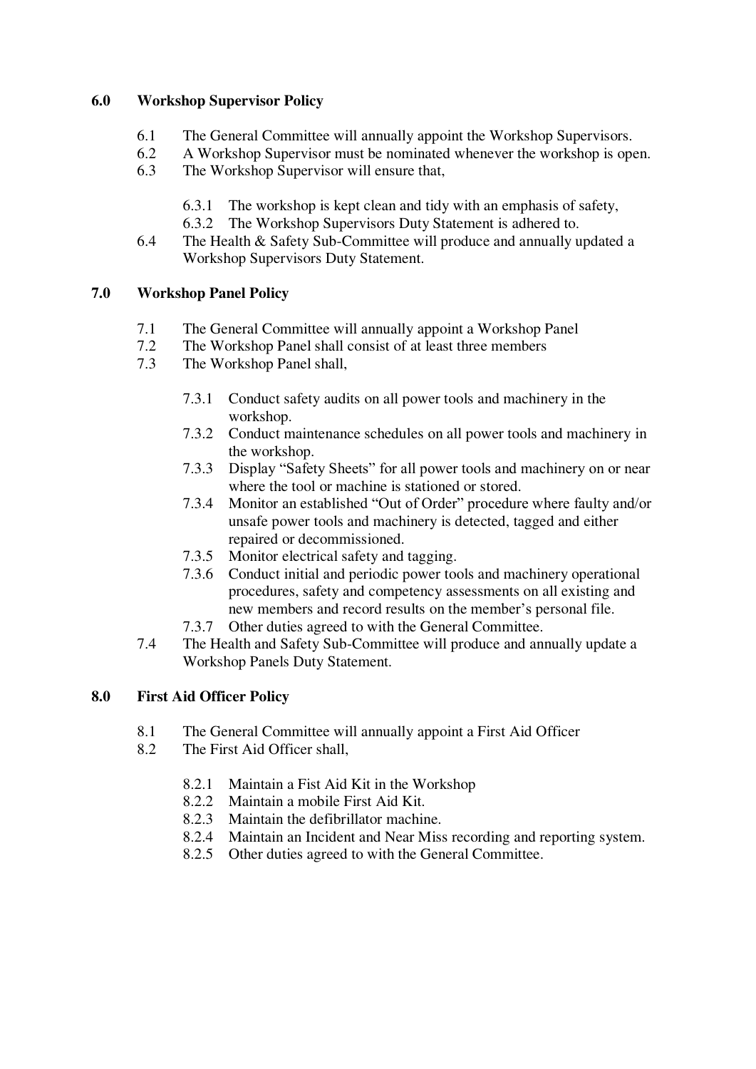## **6.0 Workshop Supervisor Policy**

- 6.1 The General Committee will annually appoint the Workshop Supervisors.
- 6.2 A Workshop Supervisor must be nominated whenever the workshop is open.
- 6.3 The Workshop Supervisor will ensure that,
	- 6.3.1 The workshop is kept clean and tidy with an emphasis of safety,
	- 6.3.2 The Workshop Supervisors Duty Statement is adhered to.
- 6.4 The Health & Safety Sub-Committee will produce and annually updated a Workshop Supervisors Duty Statement.

# **7.0 Workshop Panel Policy**

- 7.1 The General Committee will annually appoint a Workshop Panel
- 7.2 The Workshop Panel shall consist of at least three members<br>7.3 The Workshop Panel shall.
- The Workshop Panel shall,
	- 7.3.1 Conduct safety audits on all power tools and machinery in the workshop.
	- 7.3.2 Conduct maintenance schedules on all power tools and machinery in the workshop.
	- 7.3.3 Display "Safety Sheets" for all power tools and machinery on or near where the tool or machine is stationed or stored.
	- 7.3.4 Monitor an established "Out of Order" procedure where faulty and/or unsafe power tools and machinery is detected, tagged and either repaired or decommissioned.
	- 7.3.5 Monitor electrical safety and tagging.
	- 7.3.6 Conduct initial and periodic power tools and machinery operational procedures, safety and competency assessments on all existing and new members and record results on the member's personal file.
	- 7.3.7 Other duties agreed to with the General Committee.
- 7.4 The Health and Safety Sub-Committee will produce and annually update a Workshop Panels Duty Statement.

## **8.0 First Aid Officer Policy**

- 8.1 The General Committee will annually appoint a First Aid Officer
- 8.2 The First Aid Officer shall,
	- 8.2.1 Maintain a Fist Aid Kit in the Workshop
	- 8.2.2 Maintain a mobile First Aid Kit.
	- 8.2.3 Maintain the defibrillator machine.
	- 8.2.4 Maintain an Incident and Near Miss recording and reporting system.
	- 8.2.5 Other duties agreed to with the General Committee.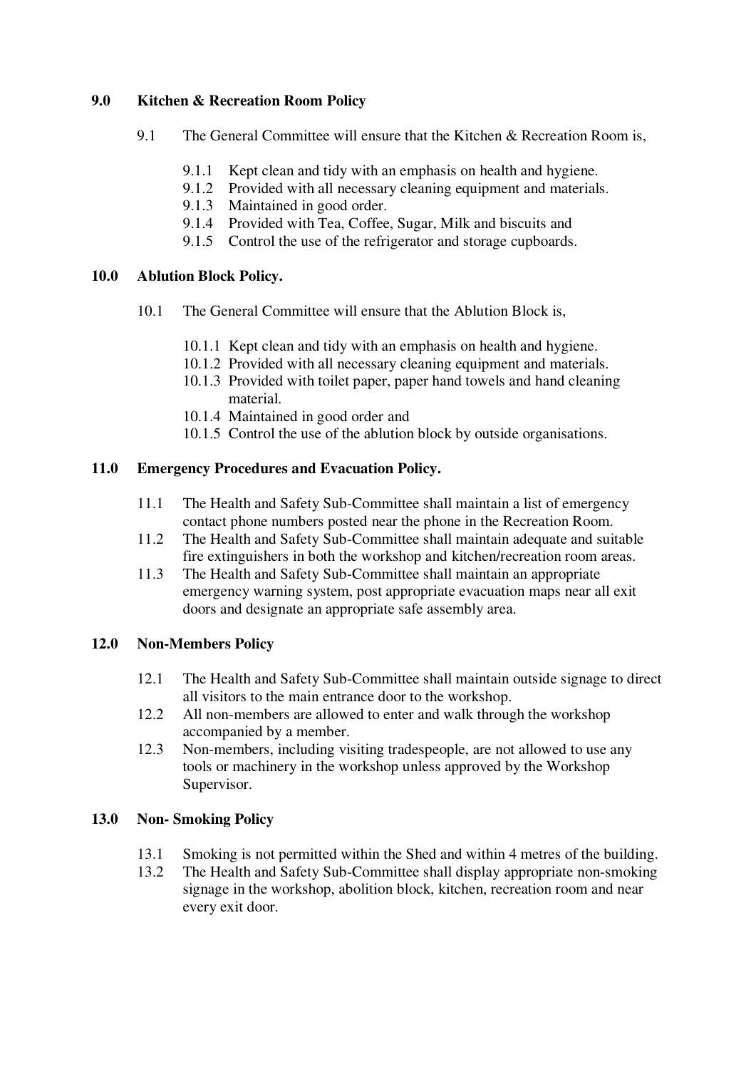## **9.0 Kitchen & Recreation Room Policy**

- 9.1 The General Committee will ensure that the Kitchen & Recreation Room is.
	- 9.1.1 Kept clean and tidy with an emphasis on health and hygiene.
	- 9.1.2 Provided with all necessary cleaning equipment and materials.
	- 9.1.3 Maintained in good order.
	- 9.1.4 Provided with Tea, Coffee, Sugar, Milk and biscuits and
	- 9.1.5 Control the use of the refrigerator and storage cupboards.

### **10.0 Ablution Block Policy.**

- 10.1 The General Committee will ensure that the Ablution Block is,
	- 10.1.1 Kept clean and tidy with an emphasis on health and hygiene.
	- 10.1.2 Provided with all necessary cleaning equipment and materials.
	- 10.1.3 Provided with toilet paper, paper hand towels and hand cleaning material.
	- 10.1.4 Maintained in good order and
	- 10.1.5 Control the use of the ablution block by outside organisations.

### **11.0 Emergency Procedures and Evacuation Policy.**

- 11.1 The Health and Safety Sub-Committee shall maintain a list of emergency contact phone numbers posted near the phone in the Recreation Room.
- 11.2 The Health and Safety Sub-Committee shall maintain adequate and suitable fire extinguishers in both the workshop and kitchen/recreation room areas.
- 11.3 The Health and Safety Sub-Committee shall maintain an appropriate emergency warning system, post appropriate evacuation maps near all exit doors and designate an appropriate safe assembly area.

### **12.0 Non-Members Policy**

- 12.1 The Health and Safety Sub-Committee shall maintain outside signage to direct all visitors to the main entrance door to the workshop.
- 12.2 All non-members are allowed to enter and walk through the workshop accompanied by a member.
- 12.3 Non-members, including visiting tradespeople, are not allowed to use any tools or machinery in the workshop unless approved by the Workshop Supervisor.

### **13.0 Non- Smoking Policy**

- 13.1 Smoking is not permitted within the Shed and within 4 metres of the building.
- 13.2 The Health and Safety Sub-Committee shall display appropriate non-smoking signage in the workshop, abolition block, kitchen, recreation room and near every exit door.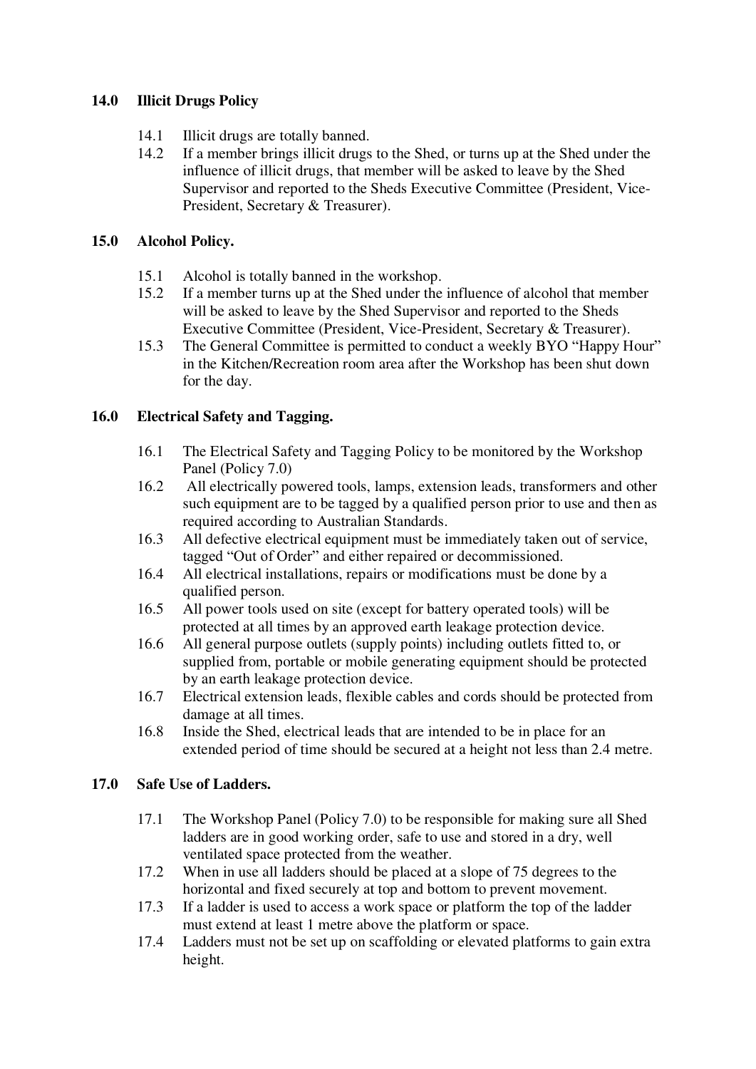## **14.0 Illicit Drugs Policy**

- 14.1 Illicit drugs are totally banned.
- 14.2 If a member brings illicit drugs to the Shed, or turns up at the Shed under the influence of illicit drugs, that member will be asked to leave by the Shed Supervisor and reported to the Sheds Executive Committee (President, Vice-President, Secretary & Treasurer).

## **15.0 Alcohol Policy.**

- 15.1 Alcohol is totally banned in the workshop.
- 15.2 If a member turns up at the Shed under the influence of alcohol that member will be asked to leave by the Shed Supervisor and reported to the Sheds Executive Committee (President, Vice-President, Secretary & Treasurer).
- 15.3 The General Committee is permitted to conduct a weekly BYO "Happy Hour" in the Kitchen/Recreation room area after the Workshop has been shut down for the day.

# **16.0 Electrical Safety and Tagging.**

- 16.1 The Electrical Safety and Tagging Policy to be monitored by the Workshop Panel (Policy 7.0)
- 16.2 All electrically powered tools, lamps, extension leads, transformers and other such equipment are to be tagged by a qualified person prior to use and then as required according to Australian Standards.
- 16.3 All defective electrical equipment must be immediately taken out of service, tagged "Out of Order" and either repaired or decommissioned.
- 16.4 All electrical installations, repairs or modifications must be done by a qualified person.
- 16.5 All power tools used on site (except for battery operated tools) will be protected at all times by an approved earth leakage protection device.
- 16.6 All general purpose outlets (supply points) including outlets fitted to, or supplied from, portable or mobile generating equipment should be protected by an earth leakage protection device.
- 16.7 Electrical extension leads, flexible cables and cords should be protected from damage at all times.
- 16.8 Inside the Shed, electrical leads that are intended to be in place for an extended period of time should be secured at a height not less than 2.4 metre.

## **17.0 Safe Use of Ladders.**

- 17.1 The Workshop Panel (Policy 7.0) to be responsible for making sure all Shed ladders are in good working order, safe to use and stored in a dry, well ventilated space protected from the weather.
- 17.2 When in use all ladders should be placed at a slope of 75 degrees to the horizontal and fixed securely at top and bottom to prevent movement.
- 17.3 If a ladder is used to access a work space or platform the top of the ladder must extend at least 1 metre above the platform or space.
- 17.4 Ladders must not be set up on scaffolding or elevated platforms to gain extra height.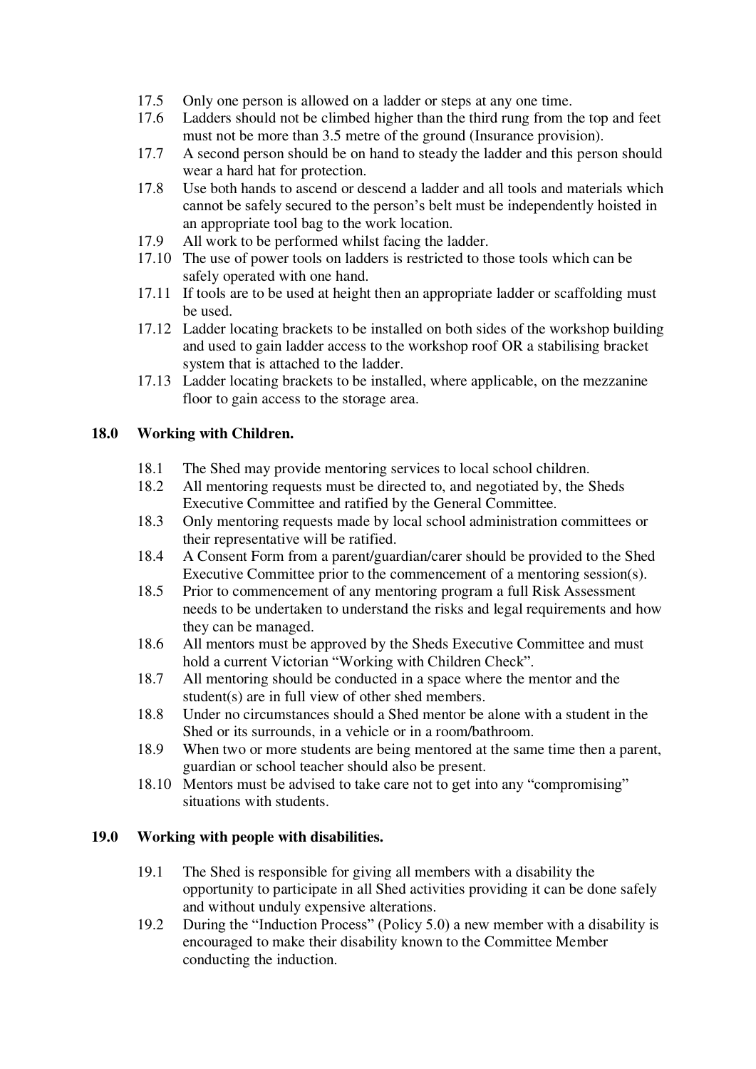- 17.5 Only one person is allowed on a ladder or steps at any one time.
- 17.6 Ladders should not be climbed higher than the third rung from the top and feet must not be more than 3.5 metre of the ground (Insurance provision).
- 17.7 A second person should be on hand to steady the ladder and this person should wear a hard hat for protection.
- 17.8 Use both hands to ascend or descend a ladder and all tools and materials which cannot be safely secured to the person's belt must be independently hoisted in an appropriate tool bag to the work location.
- 17.9 All work to be performed whilst facing the ladder.
- 17.10 The use of power tools on ladders is restricted to those tools which can be safely operated with one hand.
- 17.11 If tools are to be used at height then an appropriate ladder or scaffolding must be used.
- 17.12 Ladder locating brackets to be installed on both sides of the workshop building and used to gain ladder access to the workshop roof OR a stabilising bracket system that is attached to the ladder.
- 17.13 Ladder locating brackets to be installed, where applicable, on the mezzanine floor to gain access to the storage area.

## **18.0 Working with Children.**

- 18.1 The Shed may provide mentoring services to local school children.
- 18.2 All mentoring requests must be directed to, and negotiated by, the Sheds Executive Committee and ratified by the General Committee.
- 18.3 Only mentoring requests made by local school administration committees or their representative will be ratified.
- 18.4 A Consent Form from a parent/guardian/carer should be provided to the Shed Executive Committee prior to the commencement of a mentoring session(s).
- 18.5 Prior to commencement of any mentoring program a full Risk Assessment needs to be undertaken to understand the risks and legal requirements and how they can be managed.
- 18.6 All mentors must be approved by the Sheds Executive Committee and must hold a current Victorian "Working with Children Check".
- 18.7 All mentoring should be conducted in a space where the mentor and the student(s) are in full view of other shed members.
- 18.8 Under no circumstances should a Shed mentor be alone with a student in the Shed or its surrounds, in a vehicle or in a room/bathroom.
- 18.9 When two or more students are being mentored at the same time then a parent, guardian or school teacher should also be present.
- 18.10 Mentors must be advised to take care not to get into any "compromising" situations with students.

## **19.0 Working with people with disabilities.**

- 19.1 The Shed is responsible for giving all members with a disability the opportunity to participate in all Shed activities providing it can be done safely and without unduly expensive alterations.
- 19.2 During the "Induction Process" (Policy 5.0) a new member with a disability is encouraged to make their disability known to the Committee Member conducting the induction.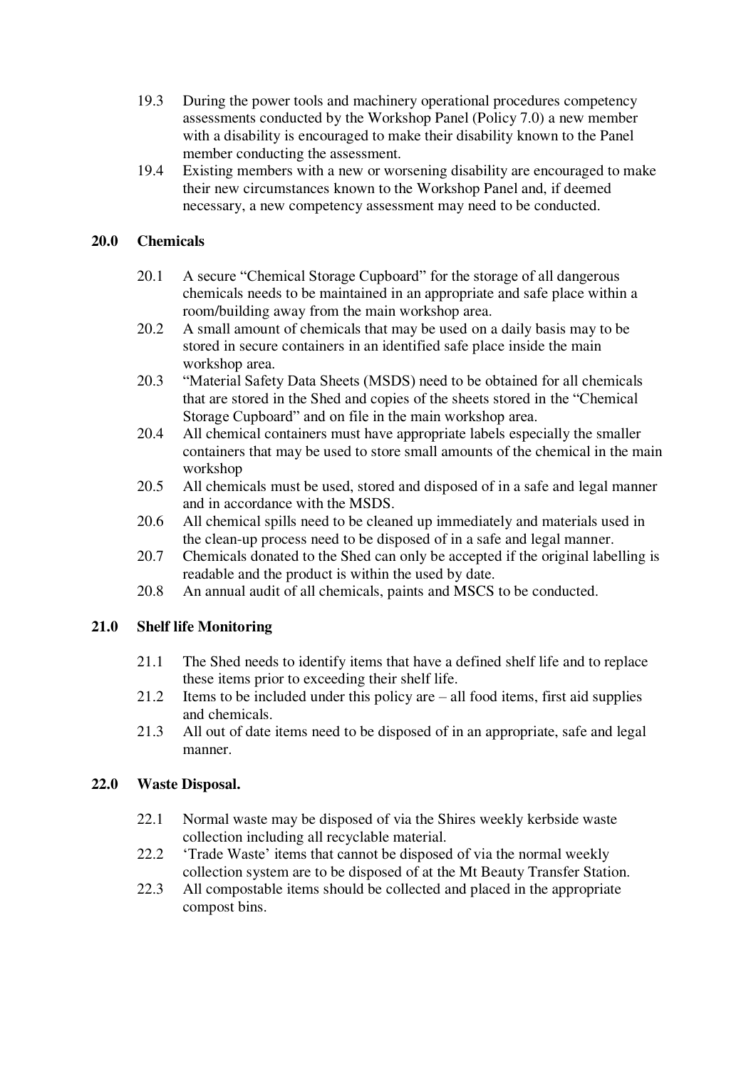- 19.3 During the power tools and machinery operational procedures competency assessments conducted by the Workshop Panel (Policy 7.0) a new member with a disability is encouraged to make their disability known to the Panel member conducting the assessment.
- 19.4 Existing members with a new or worsening disability are encouraged to make their new circumstances known to the Workshop Panel and, if deemed necessary, a new competency assessment may need to be conducted.

### **20.0 Chemicals**

- 20.1 A secure "Chemical Storage Cupboard" for the storage of all dangerous chemicals needs to be maintained in an appropriate and safe place within a room/building away from the main workshop area.
- 20.2 A small amount of chemicals that may be used on a daily basis may to be stored in secure containers in an identified safe place inside the main workshop area.
- 20.3 "Material Safety Data Sheets (MSDS) need to be obtained for all chemicals that are stored in the Shed and copies of the sheets stored in the "Chemical Storage Cupboard" and on file in the main workshop area.
- 20.4 All chemical containers must have appropriate labels especially the smaller containers that may be used to store small amounts of the chemical in the main workshop
- 20.5 All chemicals must be used, stored and disposed of in a safe and legal manner and in accordance with the MSDS.
- 20.6 All chemical spills need to be cleaned up immediately and materials used in the clean-up process need to be disposed of in a safe and legal manner.
- 20.7 Chemicals donated to the Shed can only be accepted if the original labelling is readable and the product is within the used by date.
- 20.8 An annual audit of all chemicals, paints and MSCS to be conducted.

## **21.0 Shelf life Monitoring**

- 21.1 The Shed needs to identify items that have a defined shelf life and to replace these items prior to exceeding their shelf life.
- 21.2 Items to be included under this policy are all food items, first aid supplies and chemicals.
- 21.3 All out of date items need to be disposed of in an appropriate, safe and legal manner.

## **22.0 Waste Disposal.**

- 22.1 Normal waste may be disposed of via the Shires weekly kerbside waste collection including all recyclable material.
- 22.2 'Trade Waste' items that cannot be disposed of via the normal weekly collection system are to be disposed of at the Mt Beauty Transfer Station.
- 22.3 All compostable items should be collected and placed in the appropriate compost bins.